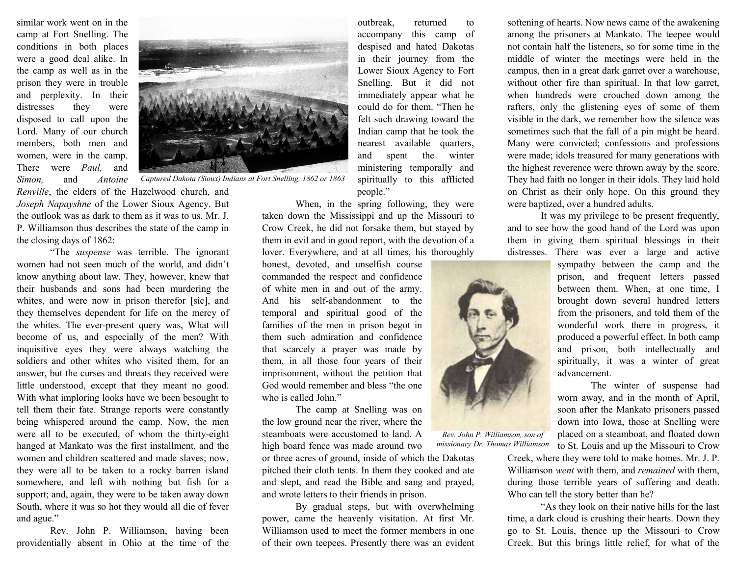similar work went on in the camp at Fort Snelling. The conditions in both places were a good deal alike. In the camp as well as in the prison they were in trouble and perplexity. In their distresses they were disposed to call upon the Lord. Many of our church members, both men and women, were in the camp. There were Paul, and Simon, and Antoine

Renville, the elders of the Hazelwood church, and Joseph Napayshne of the Lower Sioux Agency. But the outlook was as dark to them as it was to us. Mr. J. P. Williamson thus describes the state of the camp in the closing days of 1862:

"The suspense was terrible. The ignorant women had not seen much of the world, and didn't know anything about law. They, however, knew that their husbands and sons had been murdering the whites, and were now in prison therefor [sic], and they themselves dependent for life on the mercy of the whites. The ever-present query was, What will become of us, and especially of the men? With inquisitive eyes they were always watching the soldiers and other whites who visited them, for an answer, but the curses and threats they received were little understood, except that they meant no good. With what imploring looks have we been besought to tell them their fate. Strange reports were constantly being whispered around the camp. Now, the men were all to be executed, of whom the thirty-eight hanged at Mankato was the first installment, and the women and children scattered and made slaves; now, they were all to be taken to a rocky barren island somewhere, and left with nothing but fish for a support; and, again, they were to be taken away down South, where it was so hot they would all die of fever and ague."

Rev. John P. Williamson, having been providentially absent in Ohio at the time of the



Captured Dakota (Sioux) Indians at Fort Snelling, 1862 or 1863

outbreak, returned to accompany this camp of despised and hated Dakotas in their journey from the Lower Sioux Agency to Fort Snelling. But it did not immediately appear what he could do for them. "Then he felt such drawing toward the Indian camp that he took the nearest available quarters, and spent the winter ministering temporally and spiritually to this afflicted people."

When, in the spring following, they were taken down the Mississippi and up the Missouri to Crow Creek, he did not forsake them, but stayed by them in evil and in good report, with the devotion of a lover. Everywhere, and at all times, his thoroughly

honest, devoted, and unselfish course commanded the respect and confidence of white men in and out of the army. And his self-abandonment to the temporal and spiritual good of the families of the men in prison begot in them such admiration and confidence that scarcely a prayer was made by them, in all those four years of their imprisonment, without the petition that God would remember and bless "the one who is called John."

The camp at Snelling was on the low ground near the river, where the steamboats were accustomed to land. A high board fence was made around two or three acres of ground, inside of which the Dakotas pitched their cloth tents. In them they cooked and ate and slept, and read the Bible and sang and prayed, and wrote letters to their friends in prison. Rev. John P. Williamson, son of missionary Dr. Thomas Williamson

By gradual steps, but with overwhelming power, came the heavenly visitation. At first Mr. Williamson used to meet the former members in one of their own teepees. Presently there was an evident softening of hearts. Now news came of the awakening among the prisoners at Mankato. The teepee would not contain half the listeners, so for some time in the middle of winter the meetings were held in the campus, then in a great dark garret over a warehouse, without other fire than spiritual. In that low garret, when hundreds were crouched down among the rafters, only the glistening eyes of some of them visible in the dark, we remember how the silence was sometimes such that the fall of a pin might be heard. Many were convicted; confessions and professions were made; idols treasured for many generations with the highest reverence were thrown away by the score. They had faith no longer in their idols. They laid hold on Christ as their only hope. On this ground they were baptized, over a hundred adults.

It was my privilege to be present frequently, and to see how the good hand of the Lord was upon them in giving them spiritual blessings in their distresses. There was ever a large and active

sympathy between the camp and the prison, and frequent letters passed between them. When, at one time, I brought down several hundred letters from the prisoners, and told them of the wonderful work there in progress, it produced a powerful effect. In both camp and prison, both intellectually and spiritually, it was a winter of great advancement.

The winter of suspense had worn away, and in the month of April, soon after the Mankato prisoners passed down into Iowa, those at Snelling were placed on a steamboat, and floated down to St. Louis and up the Missouri to Crow

Creek, where they were told to make homes. Mr. J. P. Williamson *went* with them, and *remained* with them, during those terrible years of suffering and death. Who can tell the story better than he?

"As they look on their native hills for the last time, a dark cloud is crushing their hearts. Down they go to St. Louis, thence up the Missouri to Crow Creek. But this brings little relief, for what of the